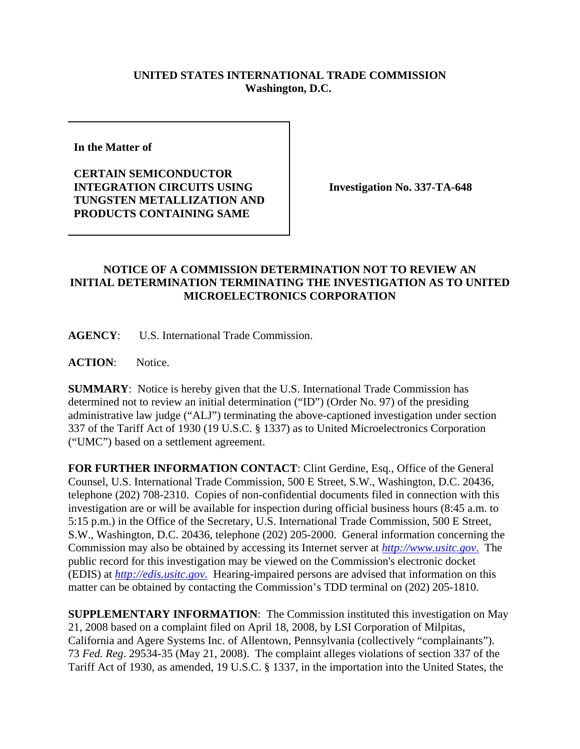## **UNITED STATES INTERNATIONAL TRADE COMMISSION Washington, D.C.**

**In the Matter of** 

**CERTAIN SEMICONDUCTOR INTEGRATION CIRCUITS USING TUNGSTEN METALLIZATION AND PRODUCTS CONTAINING SAME**

**Investigation No. 337-TA-648**

## **NOTICE OF A COMMISSION DETERMINATION NOT TO REVIEW AN INITIAL DETERMINATION TERMINATING THE INVESTIGATION AS TO UNITED MICROELECTRONICS CORPORATION**

**AGENCY**: U.S. International Trade Commission.

**ACTION**: Notice.

**SUMMARY**: Notice is hereby given that the U.S. International Trade Commission has determined not to review an initial determination ("ID") (Order No. 97) of the presiding administrative law judge ("ALJ") terminating the above-captioned investigation under section 337 of the Tariff Act of 1930 (19 U.S.C. § 1337) as to United Microelectronics Corporation ("UMC") based on a settlement agreement.

**FOR FURTHER INFORMATION CONTACT**: Clint Gerdine, Esq., Office of the General Counsel, U.S. International Trade Commission, 500 E Street, S.W., Washington, D.C. 20436, telephone (202) 708-2310. Copies of non-confidential documents filed in connection with this investigation are or will be available for inspection during official business hours (8:45 a.m. to 5:15 p.m.) in the Office of the Secretary, U.S. International Trade Commission, 500 E Street, S.W., Washington, D.C. 20436, telephone (202) 205-2000. General information concerning the Commission may also be obtained by accessing its Internet server at *http://www.usitc.gov*. The public record for this investigation may be viewed on the Commission's electronic docket (EDIS) at *http://edis.usitc.gov*. Hearing-impaired persons are advised that information on this matter can be obtained by contacting the Commission's TDD terminal on (202) 205-1810.

**SUPPLEMENTARY INFORMATION**: The Commission instituted this investigation on May 21, 2008 based on a complaint filed on April 18, 2008, by LSI Corporation of Milpitas, California and Agere Systems Inc. of Allentown, Pennsylvania (collectively "complainants"). 73 *Fed. Reg*. 29534-35 (May 21, 2008). The complaint alleges violations of section 337 of the Tariff Act of 1930, as amended, 19 U.S.C. § 1337, in the importation into the United States, the